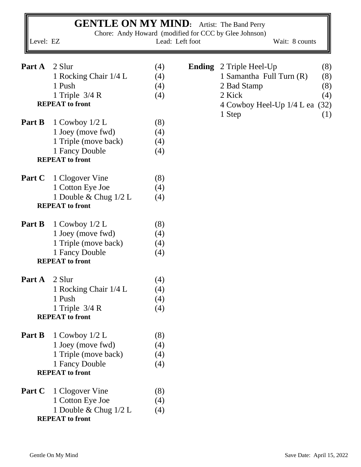| Level: EZ            | <b>GENTLE ON MY MIND:</b> Artist: The Band Perry |     | Lead: Left foot | Chore: Andy Howard (modified for CCC by Glee Johnson)<br>Wait: 8 counts |
|----------------------|--------------------------------------------------|-----|-----------------|-------------------------------------------------------------------------|
| Part A               | 2 Slur                                           | (4) |                 | <b>Ending</b> 2 Triple Heel-Up<br>(8)                                   |
|                      | 1 Rocking Chair 1/4 L                            | (4) |                 | 1 Samantha Full Turn (R)<br>(8)                                         |
|                      | 1 Push                                           | (4) |                 | (8)<br>2 Bad Stamp                                                      |
|                      | 1 Triple $3/4 R$                                 | (4) |                 | 2 Kick<br>(4)                                                           |
|                      | <b>REPEAT</b> to front                           |     |                 | (32)<br>4 Cowboy Heel-Up 1/4 L ea                                       |
|                      |                                                  |     |                 | 1 Step<br>(1)                                                           |
| Part B               | 1 Cowboy $1/2$ L                                 | (8) |                 |                                                                         |
|                      | 1 Joey (move fwd)                                | (4) |                 |                                                                         |
|                      | 1 Triple (move back)                             | (4) |                 |                                                                         |
|                      | 1 Fancy Double<br><b>REPEAT</b> to front         | (4) |                 |                                                                         |
| Part C               | 1 Clogover Vine                                  | (8) |                 |                                                                         |
|                      | 1 Cotton Eye Joe                                 | (4) |                 |                                                                         |
|                      | 1 Double & Chug $1/2$ L                          | (4) |                 |                                                                         |
|                      | <b>REPEAT</b> to front                           |     |                 |                                                                         |
| Part B               | 1 Cowboy $1/2$ L                                 | (8) |                 |                                                                         |
|                      | 1 Joey (move fwd)                                | (4) |                 |                                                                         |
|                      | 1 Triple (move back)                             | (4) |                 |                                                                         |
|                      | 1 Fancy Double<br><b>REPEAT</b> to front         | (4) |                 |                                                                         |
| <b>Part A</b> 2 Slur |                                                  | (4) |                 |                                                                         |
|                      | 1 Rocking Chair 1/4 L                            | (4) |                 |                                                                         |
|                      | 1 Push                                           | (4) |                 |                                                                         |
|                      | 1 Triple $3/4$ R                                 | (4) |                 |                                                                         |
|                      | <b>REPEAT</b> to front                           |     |                 |                                                                         |
| Part B               | 1 Cowboy $1/2$ L                                 | (8) |                 |                                                                         |
|                      | 1 Joey (move fwd)                                | (4) |                 |                                                                         |
|                      | 1 Triple (move back)                             | (4) |                 |                                                                         |
|                      | 1 Fancy Double                                   | (4) |                 |                                                                         |
|                      | <b>REPEAT</b> to front                           |     |                 |                                                                         |
| Part C               | 1 Clogover Vine                                  | (8) |                 |                                                                         |
|                      | 1 Cotton Eye Joe                                 | (4) |                 |                                                                         |
|                      | 1 Double & Chug 1/2 L<br><b>REPEAT</b> to front  | (4) |                 |                                                                         |

r.

 $\blacksquare$